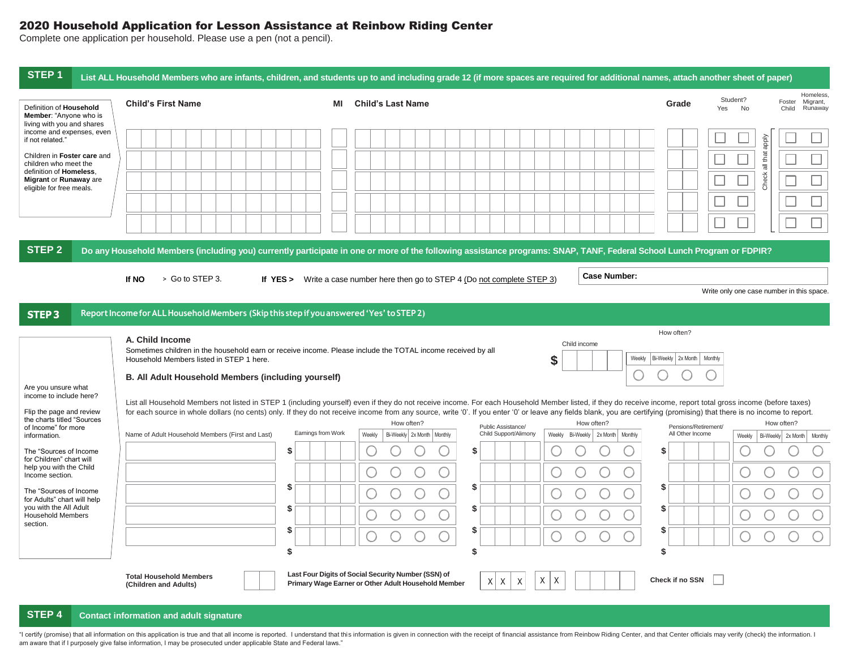## 2020 Household Application for Lesson Assistance at Reinbow Riding Center

Complete one application per household. Please use a pen (not a pencil).

| STEP <sub>1</sub><br>List ALL Household Members who are infants, children, and students up to and including grade 12 (if more spaces are required for additional names, attach another sheet of paper)                                                                                                                                                                                                                                                                                                                                                                                                                            |                                                                                                                                                                                                                                   |    |                                                                                                                                                                        |                                  |  |  |  |  |
|-----------------------------------------------------------------------------------------------------------------------------------------------------------------------------------------------------------------------------------------------------------------------------------------------------------------------------------------------------------------------------------------------------------------------------------------------------------------------------------------------------------------------------------------------------------------------------------------------------------------------------------|-----------------------------------------------------------------------------------------------------------------------------------------------------------------------------------------------------------------------------------|----|------------------------------------------------------------------------------------------------------------------------------------------------------------------------|----------------------------------|--|--|--|--|
| Definition of Household<br>Member: "Anyone who is<br>living with you and shares                                                                                                                                                                                                                                                                                                                                                                                                                                                                                                                                                   | <b>Child's First Name</b>                                                                                                                                                                                                         | ΜI | Student?<br>Foster<br><b>Child's Last Name</b><br>Grade<br>Yes<br>No<br>Child                                                                                          | Homeless.<br>Migrant,<br>Runaway |  |  |  |  |
| income and expenses, even<br>if not related."<br>Children in Foster care and                                                                                                                                                                                                                                                                                                                                                                                                                                                                                                                                                      |                                                                                                                                                                                                                                   |    | $\Box$                                                                                                                                                                 |                                  |  |  |  |  |
| children who meet the<br>definition of Homeless.<br>Migrant or Runaway are<br>eligible for free meals.                                                                                                                                                                                                                                                                                                                                                                                                                                                                                                                            |                                                                                                                                                                                                                                   |    | Check all that apply                                                                                                                                                   |                                  |  |  |  |  |
|                                                                                                                                                                                                                                                                                                                                                                                                                                                                                                                                                                                                                                   |                                                                                                                                                                                                                                   |    |                                                                                                                                                                        |                                  |  |  |  |  |
| <b>STEP 2</b>                                                                                                                                                                                                                                                                                                                                                                                                                                                                                                                                                                                                                     |                                                                                                                                                                                                                                   |    | Do any Household Members (including you) currently participate in one or more of the following assistance programs: SNAP, TANF, Federal School Lunch Program or FDPIR? |                                  |  |  |  |  |
|                                                                                                                                                                                                                                                                                                                                                                                                                                                                                                                                                                                                                                   | > Go to STEP 3.<br>If NO                                                                                                                                                                                                          |    | <b>Case Number:</b><br>If YES > Write a case number here then go to STEP 4 (Do not complete STEP 3)<br>Write only one case number in this space.                       |                                  |  |  |  |  |
| STEP3                                                                                                                                                                                                                                                                                                                                                                                                                                                                                                                                                                                                                             | Report Income for ALL Household Members (Skip this step if you answered 'Yes' to STEP 2)                                                                                                                                          |    |                                                                                                                                                                        |                                  |  |  |  |  |
| Are you unsure what                                                                                                                                                                                                                                                                                                                                                                                                                                                                                                                                                                                                               | A. Child Income<br>Sometimes children in the household earn or receive income. Please include the TOTAL income received by all<br>Household Members listed in STEP 1 here.<br>B. All Adult Household Members (including yourself) |    | How often?<br>Child income<br>\$<br>Weekly<br>Bi-Weekly   2x Month  <br>Monthly                                                                                        |                                  |  |  |  |  |
| income to include here?<br>List all Household Members not listed in STEP 1 (including yourself) even if they do not receive income. For each Household Member listed, if they do receive income, report total gross income (before taxes)<br>Flip the page and review<br>for each source in whole dollars (no cents) only. If they do not receive income from any source, write '0'. If you enter '0' or leave any fields blank, you are certifying (promising) that there is no income to report.<br>the charts titled "Sources<br>How often?<br>How often?<br>Public Assistance/<br>of Income" for more<br>Pensions/Retirement/ |                                                                                                                                                                                                                                   |    |                                                                                                                                                                        |                                  |  |  |  |  |
| information.<br>The "Sources of Income                                                                                                                                                                                                                                                                                                                                                                                                                                                                                                                                                                                            | Earnings from Work<br>Name of Adult Household Members (First and Last)<br>\$.                                                                                                                                                     |    | Child Support/Alimony<br>All Other Income<br>Weekly<br>Bi-Weekly 2x Month   Monthly<br>Weekly<br>Bi-Weekly 2x Month Monthly<br>Weekly<br>\$.<br>S                      | Bi-Weekly 2x Month Monthly       |  |  |  |  |
| for Children" chart will<br>help you with the Child<br>Income section.                                                                                                                                                                                                                                                                                                                                                                                                                                                                                                                                                            |                                                                                                                                                                                                                                   |    | O<br>$\cup$                                                                                                                                                            |                                  |  |  |  |  |
| The "Sources of Income"<br>for Adults" chart will help<br>you with the All Adult                                                                                                                                                                                                                                                                                                                                                                                                                                                                                                                                                  | \$<br>S                                                                                                                                                                                                                           |    | S<br>\$<br>O<br>○<br>\$<br>S                                                                                                                                           |                                  |  |  |  |  |
| <b>Household Members</b><br>section.                                                                                                                                                                                                                                                                                                                                                                                                                                                                                                                                                                                              | \$.                                                                                                                                                                                                                               |    | S<br>\$                                                                                                                                                                |                                  |  |  |  |  |
|                                                                                                                                                                                                                                                                                                                                                                                                                                                                                                                                                                                                                                   | \$                                                                                                                                                                                                                                |    | \$<br>\$                                                                                                                                                               |                                  |  |  |  |  |
|                                                                                                                                                                                                                                                                                                                                                                                                                                                                                                                                                                                                                                   | <b>Total Household Members</b><br>(Children and Adults)                                                                                                                                                                           |    | Last Four Digits of Social Security Number (SSN) of<br><b>Check if no SSN</b><br>X<br>Χ<br>X<br>XX<br>Primary Wage Earner or Other Adult Household Member              |                                  |  |  |  |  |

## **STEP 4 Contact information and adult signature**

"I certify (promise) that all information on this application is true and that all income is reported. I understand that this information is given in connection with the receipt of financial assistance from Reinbow Riding am aware that if I purposely give false information, I may be prosecuted under applicable State and Federal laws."